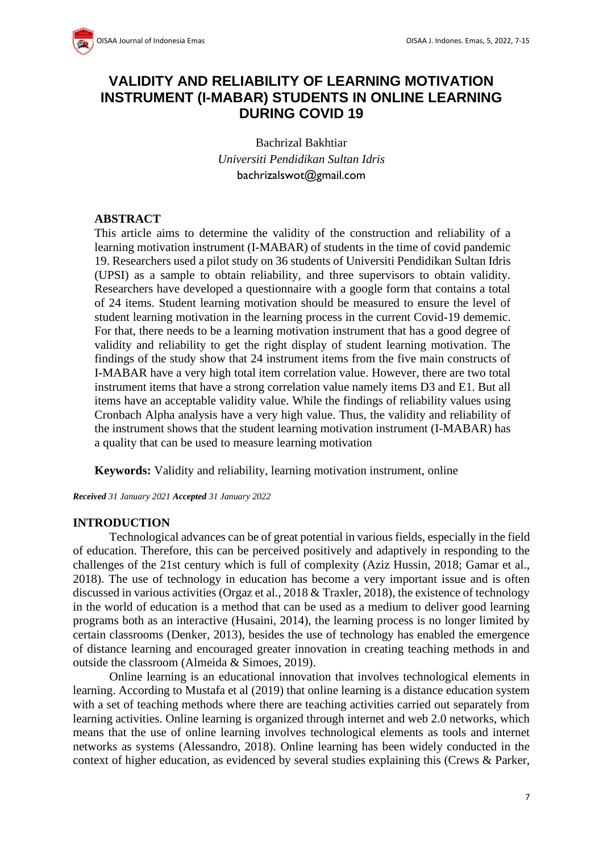

# **VALIDITY AND RELIABILITY OF LEARNING MOTIVATION INSTRUMENT (I-MABAR) STUDENTS IN ONLINE LEARNING DURING COVID 19**

Bachrizal Bakhtiar *Universiti Pendidikan Sultan Idris* bachrizalswot@gmail.com

### **ABSTRACT**

This article aims to determine the validity of the construction and reliability of a learning motivation instrument (I-MABAR) of students in the time of covid pandemic 19. Researchers used a pilot study on 36 students of Universiti Pendidikan Sultan Idris (UPSI) as a sample to obtain reliability, and three supervisors to obtain validity. Researchers have developed a questionnaire with a google form that contains a total of 24 items. Student learning motivation should be measured to ensure the level of student learning motivation in the learning process in the current Covid-19 dememic. For that, there needs to be a learning motivation instrument that has a good degree of validity and reliability to get the right display of student learning motivation. The findings of the study show that 24 instrument items from the five main constructs of I-MABAR have a very high total item correlation value. However, there are two total instrument items that have a strong correlation value namely items D3 and E1. But all items have an acceptable validity value. While the findings of reliability values using Cronbach Alpha analysis have a very high value. Thus, the validity and reliability of the instrument shows that the student learning motivation instrument (I-MABAR) has a quality that can be used to measure learning motivation

**Keywords:** Validity and reliability, learning motivation instrument, online

*Received 31 January 2021 Accepted 31 January 2022*

#### **INTRODUCTION**

Technological advances can be of great potential in various fields, especially in the field of education. Therefore, this can be perceived positively and adaptively in responding to the challenges of the 21st century which is full of complexity (Aziz Hussin, 2018; Gamar et al., 2018). The use of technology in education has become a very important issue and is often discussed in various activities (Orgaz et al., 2018 & Traxler, 2018), the existence of technology in the world of education is a method that can be used as a medium to deliver good learning programs both as an interactive (Husaini, 2014), the learning process is no longer limited by certain classrooms (Denker, 2013), besides the use of technology has enabled the emergence of distance learning and encouraged greater innovation in creating teaching methods in and outside the classroom (Almeida & Simoes, 2019).

Online learning is an educational innovation that involves technological elements in learning. According to Mustafa et al (2019) that online learning is a distance education system with a set of teaching methods where there are teaching activities carried out separately from learning activities. Online learning is organized through internet and web 2.0 networks, which means that the use of online learning involves technological elements as tools and internet networks as systems (Alessandro, 2018). Online learning has been widely conducted in the context of higher education, as evidenced by several studies explaining this (Crews & Parker,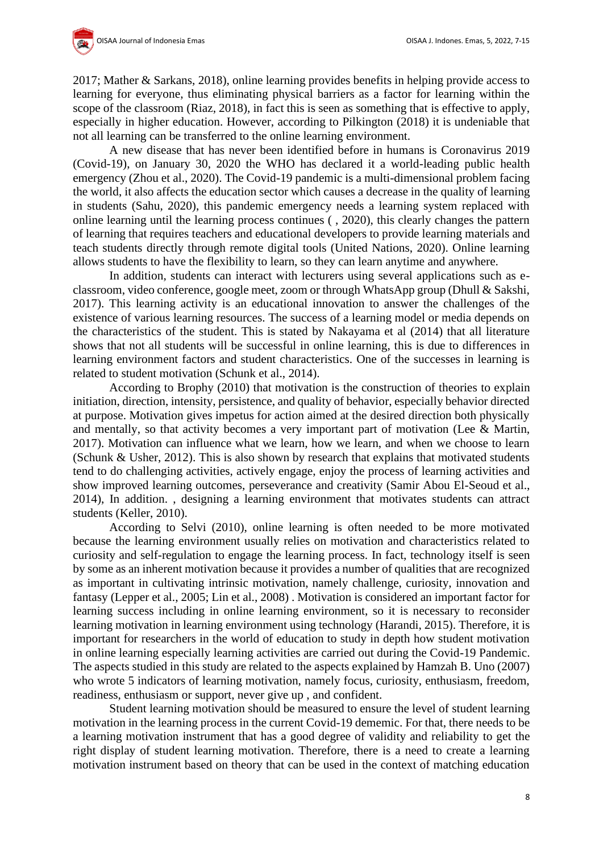

2017; Mather & Sarkans, 2018), online learning provides benefits in helping provide access to learning for everyone, thus eliminating physical barriers as a factor for learning within the scope of the classroom (Riaz, 2018), in fact this is seen as something that is effective to apply, especially in higher education. However, according to Pilkington (2018) it is undeniable that not all learning can be transferred to the online learning environment.

A new disease that has never been identified before in humans is Coronavirus 2019 (Covid-19), on January 30, 2020 the WHO has declared it a world-leading public health emergency (Zhou et al., 2020). The Covid-19 pandemic is a multi-dimensional problem facing the world, it also affects the education sector which causes a decrease in the quality of learning in students (Sahu, 2020), this pandemic emergency needs a learning system replaced with online learning until the learning process continues ( , 2020), this clearly changes the pattern of learning that requires teachers and educational developers to provide learning materials and teach students directly through remote digital tools (United Nations, 2020). Online learning allows students to have the flexibility to learn, so they can learn anytime and anywhere.

In addition, students can interact with lecturers using several applications such as eclassroom, video conference, google meet, zoom or through WhatsApp group (Dhull & Sakshi, 2017). This learning activity is an educational innovation to answer the challenges of the existence of various learning resources. The success of a learning model or media depends on the characteristics of the student. This is stated by Nakayama et al (2014) that all literature shows that not all students will be successful in online learning, this is due to differences in learning environment factors and student characteristics. One of the successes in learning is related to student motivation (Schunk et al., 2014).

According to Brophy (2010) that motivation is the construction of theories to explain initiation, direction, intensity, persistence, and quality of behavior, especially behavior directed at purpose. Motivation gives impetus for action aimed at the desired direction both physically and mentally, so that activity becomes a very important part of motivation (Lee & Martin, 2017). Motivation can influence what we learn, how we learn, and when we choose to learn (Schunk & Usher, 2012). This is also shown by research that explains that motivated students tend to do challenging activities, actively engage, enjoy the process of learning activities and show improved learning outcomes, perseverance and creativity (Samir Abou El-Seoud et al., 2014), In addition. , designing a learning environment that motivates students can attract students (Keller, 2010).

According to Selvi (2010), online learning is often needed to be more motivated because the learning environment usually relies on motivation and characteristics related to curiosity and self-regulation to engage the learning process. In fact, technology itself is seen by some as an inherent motivation because it provides a number of qualities that are recognized as important in cultivating intrinsic motivation, namely challenge, curiosity, innovation and fantasy (Lepper et al., 2005; Lin et al., 2008) . Motivation is considered an important factor for learning success including in online learning environment, so it is necessary to reconsider learning motivation in learning environment using technology (Harandi, 2015). Therefore, it is important for researchers in the world of education to study in depth how student motivation in online learning especially learning activities are carried out during the Covid-19 Pandemic. The aspects studied in this study are related to the aspects explained by Hamzah B. Uno (2007) who wrote 5 indicators of learning motivation, namely focus, curiosity, enthusiasm, freedom, readiness, enthusiasm or support, never give up , and confident.

Student learning motivation should be measured to ensure the level of student learning motivation in the learning process in the current Covid-19 dememic. For that, there needs to be a learning motivation instrument that has a good degree of validity and reliability to get the right display of student learning motivation. Therefore, there is a need to create a learning motivation instrument based on theory that can be used in the context of matching education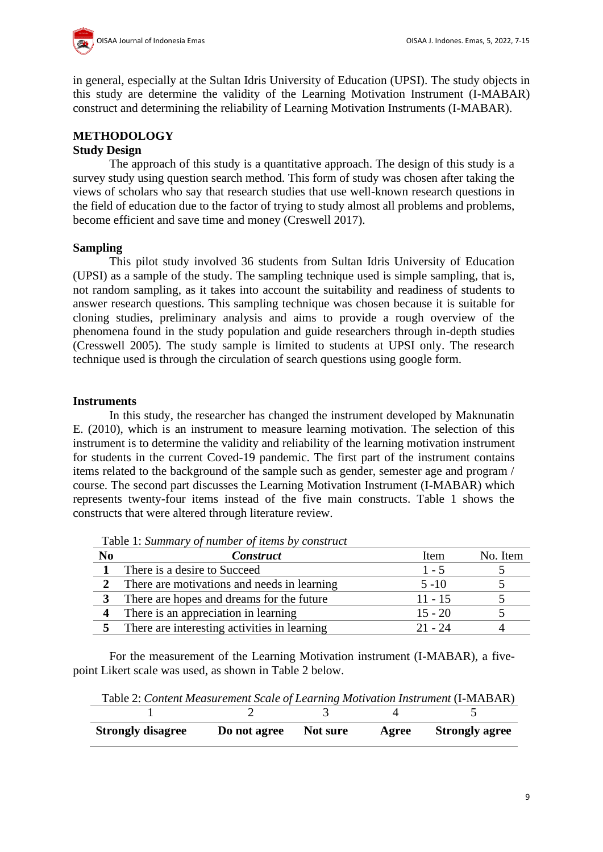

in general, especially at the Sultan Idris University of Education (UPSI). The study objects in this study are determine the validity of the Learning Motivation Instrument (I-MABAR) construct and determining the reliability of Learning Motivation Instruments (I-MABAR).

### **METHODOLOGY Study Design**

The approach of this study is a quantitative approach. The design of this study is a survey study using question search method. This form of study was chosen after taking the views of scholars who say that research studies that use well-known research questions in the field of education due to the factor of trying to study almost all problems and problems, become efficient and save time and money (Creswell 2017).

## **Sampling**

This pilot study involved 36 students from Sultan Idris University of Education (UPSI) as a sample of the study. The sampling technique used is simple sampling, that is, not random sampling, as it takes into account the suitability and readiness of students to answer research questions. This sampling technique was chosen because it is suitable for cloning studies, preliminary analysis and aims to provide a rough overview of the phenomena found in the study population and guide researchers through in-depth studies (Cresswell 2005). The study sample is limited to students at UPSI only. The research technique used is through the circulation of search questions using google form.

## **Instruments**

In this study, the researcher has changed the instrument developed by Maknunatin E. (2010), which is an instrument to measure learning motivation. The selection of this instrument is to determine the validity and reliability of the learning motivation instrument for students in the current Coved-19 pandemic. The first part of the instrument contains items related to the background of the sample such as gender, semester age and program / course. The second part discusses the Learning Motivation Instrument (I-MABAR) which represents twenty-four items instead of the five main constructs. Table 1 shows the constructs that were altered through literature review.

| No | <b>Construct</b>                             | Item      | No. Item |
|----|----------------------------------------------|-----------|----------|
|    | There is a desire to Succeed                 | $1 - 5$   |          |
|    | There are motivations and needs in learning  | $5 - 10$  |          |
|    | There are hopes and dreams for the future    | $11 - 15$ |          |
|    | There is an appreciation in learning         | $15 - 20$ |          |
|    | There are interesting activities in learning | 21 - 24   |          |

Table 1: *Summary of number of items by construct*

For the measurement of the Learning Motivation instrument (I-MABAR), a fivepoint Likert scale was used, as shown in Table 2 below.

Table 2: *Content Measurement Scale of Learning Motivation Instrument* (I-MABAR)

| <b>Strongly disagree</b> | Do not agree Not sure | Agree | <b>Strongly agree</b> |
|--------------------------|-----------------------|-------|-----------------------|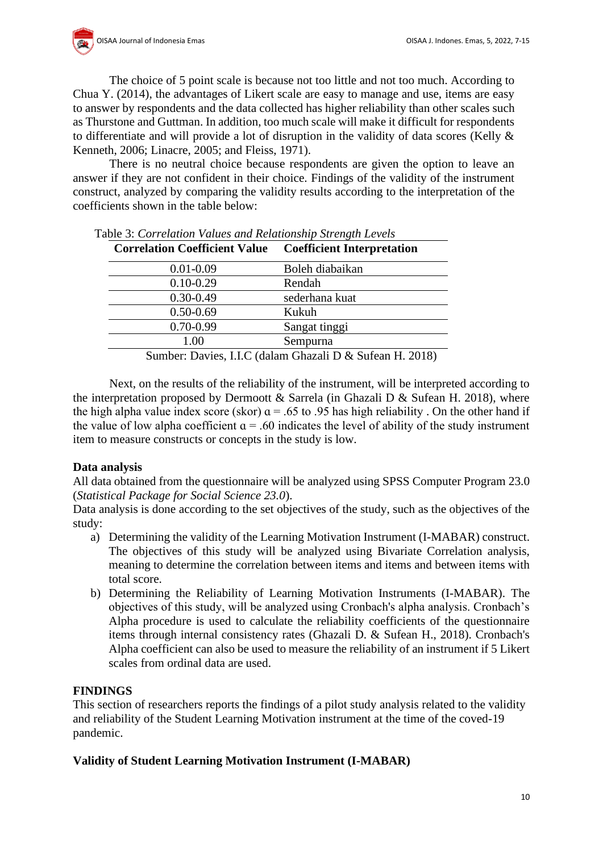

The choice of 5 point scale is because not too little and not too much. According to Chua Y. (2014), the advantages of Likert scale are easy to manage and use, items are easy to answer by respondents and the data collected has higher reliability than other scales such as Thurstone and Guttman. In addition, too much scale will make it difficult for respondents to differentiate and will provide a lot of disruption in the validity of data scores (Kelly & Kenneth, 2006; Linacre, 2005; and Fleiss, 1971).

There is no neutral choice because respondents are given the option to leave an answer if they are not confident in their choice. Findings of the validity of the instrument construct, analyzed by comparing the validity results according to the interpretation of the coefficients shown in the table below:

| <b>Correlation Coefficient Value</b> | <b>Coefficient Interpretation</b>                                                                      |
|--------------------------------------|--------------------------------------------------------------------------------------------------------|
| $0.01 - 0.09$                        | Boleh diabaikan                                                                                        |
| $0.10 - 0.29$                        | Rendah                                                                                                 |
| $0.30 - 0.49$                        | sederhana kuat                                                                                         |
| $0.50 - 0.69$                        | Kukuh                                                                                                  |
| $0.70 - 0.99$                        | Sangat tinggi                                                                                          |
| 1.00                                 | Sempurna                                                                                               |
|                                      | $C_{\text{turbain}}$ $D_{\text{cubic}}$ IIC (dalam Charal $D_{\text{c}}$ $C_{\text{turbain}}$ II 2010) |

Table 3: *Correlation Values and Relationship Strength Levels*

Sumber: Davies, I.I.C (dalam Ghazali D & Sufean H. 2018)

Next, on the results of the reliability of the instrument, will be interpreted according to the interpretation proposed by Dermoott & Sarrela (in Ghazali D & Sufean H. 2018), where the high alpha value index score (skor)  $a = .65$  to .95 has high reliability. On the other hand if the value of low alpha coefficient  $a = .60$  indicates the level of ability of the study instrument item to measure constructs or concepts in the study is low.

## **Data analysis**

All data obtained from the questionnaire will be analyzed using SPSS Computer Program 23.0 (*Statistical Package for Social Science 23.0*).

Data analysis is done according to the set objectives of the study, such as the objectives of the study:

- a) Determining the validity of the Learning Motivation Instrument (I-MABAR) construct. The objectives of this study will be analyzed using Bivariate Correlation analysis, meaning to determine the correlation between items and items and between items with total score.
- b) Determining the Reliability of Learning Motivation Instruments (I-MABAR). The objectives of this study, will be analyzed using Cronbach's alpha analysis. Cronbach's Alpha procedure is used to calculate the reliability coefficients of the questionnaire items through internal consistency rates (Ghazali D. & Sufean H., 2018). Cronbach's Alpha coefficient can also be used to measure the reliability of an instrument if 5 Likert scales from ordinal data are used.

## **FINDINGS**

This section of researchers reports the findings of a pilot study analysis related to the validity and reliability of the Student Learning Motivation instrument at the time of the coved-19 pandemic.

## **Validity of Student Learning Motivation Instrument (I-MABAR)**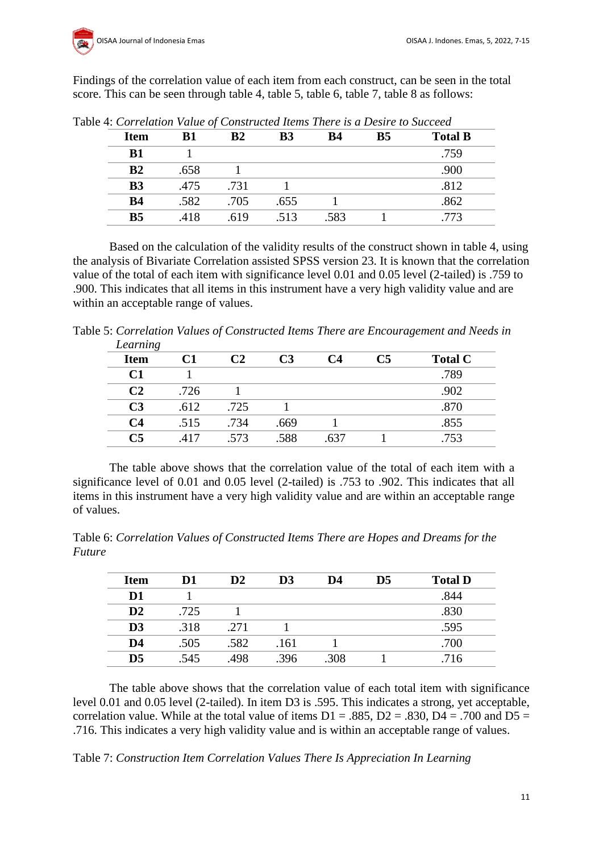

Findings of the correlation value of each item from each construct, can be seen in the total score. This can be seen through table 4, table 5, table 6, table 7, table 8 as follows:

| <b>Item</b>    | B1   | B2   | <b>B3</b> | B4   | <b>B5</b> | <b>Total B</b> |
|----------------|------|------|-----------|------|-----------|----------------|
| B1             |      |      |           |      |           | .759           |
| B <sub>2</sub> | .658 |      |           |      |           | .900           |
| B <sub>3</sub> | .475 | .731 |           |      |           | .812           |
| <b>B4</b>      | .582 | .705 | .655      |      |           | .862           |
| B <sub>5</sub> | .418 | .619 | .513      | .583 |           | 773            |

Table 4: *Correlation Value of Constructed Items There is a Desire to Succeed*

Based on the calculation of the validity results of the construct shown in table 4, using the analysis of Bivariate Correlation assisted SPSS version 23. It is known that the correlation value of the total of each item with significance level 0.01 and 0.05 level (2-tailed) is .759 to .900. This indicates that all items in this instrument have a very high validity value and are within an acceptable range of values.

Table 5: *Correlation Values of Constructed Items There are Encouragement and Needs in Learning*

| Learning       |      |      |      |      |    |                |
|----------------|------|------|------|------|----|----------------|
| <b>Item</b>    | C1   |      | C3   | C4   | C5 | <b>Total C</b> |
| C1             |      |      |      |      |    | .789           |
| C2             | .726 |      |      |      |    | .902           |
| C <sub>3</sub> | .612 | .725 |      |      |    | .870           |
| C4             | .515 | .734 | .669 |      |    | .855           |
| C <sub>5</sub> | .417 | .573 | .588 | .637 |    | .753           |
|                |      |      |      |      |    |                |

The table above shows that the correlation value of the total of each item with a significance level of 0.01 and 0.05 level (2-tailed) is .753 to .902. This indicates that all items in this instrument have a very high validity value and are within an acceptable range of values.

Table 6: *Correlation Values of Constructed Items There are Hopes and Dreams for the Future*

| <b>Item</b>    | D1   | $\mathbf{D}2$ | D <sub>3</sub> | D4   | $\mathbf{D}5$ | <b>Total D</b> |
|----------------|------|---------------|----------------|------|---------------|----------------|
| D1             |      |               |                |      |               | .844           |
| $\mathbf{D}2$  | .725 |               |                |      |               | .830           |
| D <sub>3</sub> | .318 | .271          |                |      |               | .595           |
| D <sub>4</sub> | .505 | .582          | .161           |      |               | .700           |
| $\mathbf{D}5$  | .545 | .498          | .396           | .308 |               | .716           |

The table above shows that the correlation value of each total item with significance level 0.01 and 0.05 level (2-tailed). In item D3 is .595. This indicates a strong, yet acceptable, correlation value. While at the total value of items  $D1 = .885$ ,  $D2 = .830$ ,  $D4 = .700$  and  $D5 =$ .716. This indicates a very high validity value and is within an acceptable range of values.

Table 7: *Construction Item Correlation Values There Is Appreciation In Learning*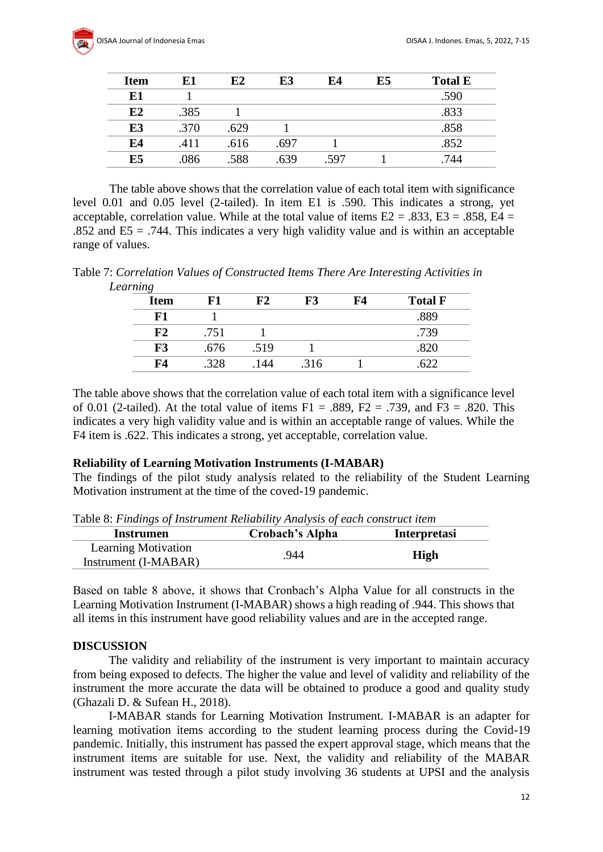| <b>Item</b> | E1   | E2   | E3   | E4  | E5 | <b>Total E</b> |
|-------------|------|------|------|-----|----|----------------|
| E1          |      |      |      |     |    | .590           |
| E2          | .385 |      |      |     |    | .833           |
| E3          | .370 | .629 |      |     |    | .858           |
| E4          | .411 | .616 | .697 |     |    | .852           |
| E5          | .086 | .588 | 639  | 597 |    | 744            |

The table above shows that the correlation value of each total item with significance level 0.01 and 0.05 level (2-tailed). In item E1 is .590. This indicates a strong, yet acceptable, correlation value. While at the total value of items  $E2 = .833$ ,  $E3 = .858$ ,  $E4 =$ .852 and  $ES = .744$ . This indicates a very high validity value and is within an acceptable range of values.

Table 7: *Correlation Values of Constructed Items There Are Interesting Activities in Learning*

| $\cdot$<br><b>Item</b> | F1   | F2   | F3   | F4 | <b>Total F</b> |
|------------------------|------|------|------|----|----------------|
| F1                     |      |      |      |    | .889           |
| F2                     | .751 |      |      |    | .739           |
| F3                     | .676 | .519 |      |    |                |
| F4                     | 328  | 144  | .316 |    |                |

The table above shows that the correlation value of each total item with a significance level of 0.01 (2-tailed). At the total value of items  $F1 = .889$ ,  $F2 = .739$ , and  $F3 = .820$ . This indicates a very high validity value and is within an acceptable range of values. While the F4 item is .622. This indicates a strong, yet acceptable, correlation value.

### **Reliability of Learning Motivation Instruments (I-MABAR)**

The findings of the pilot study analysis related to the reliability of the Student Learning Motivation instrument at the time of the coved-19 pandemic.

Table 8: *Findings of Instrument Reliability Analysis of each construct item*

| <b>Instrumen</b>           | Crobach's Alpha | <b>Interpretasi</b> |
|----------------------------|-----------------|---------------------|
| <b>Learning Motivation</b> | .944            | <b>High</b>         |
| Instrument (I-MABAR)       |                 |                     |

Based on table 8 above, it shows that Cronbach's Alpha Value for all constructs in the Learning Motivation Instrument (I-MABAR) shows a high reading of .944. This shows that all items in this instrument have good reliability values and are in the accepted range.

### **DISCUSSION**

The validity and reliability of the instrument is very important to maintain accuracy from being exposed to defects. The higher the value and level of validity and reliability of the instrument the more accurate the data will be obtained to produce a good and quality study (Ghazali D. & Sufean H., 2018).

I-MABAR stands for Learning Motivation Instrument. I-MABAR is an adapter for learning motivation items according to the student learning process during the Covid-19 pandemic. Initially, this instrument has passed the expert approval stage, which means that the instrument items are suitable for use. Next, the validity and reliability of the MABAR instrument was tested through a pilot study involving 36 students at UPSI and the analysis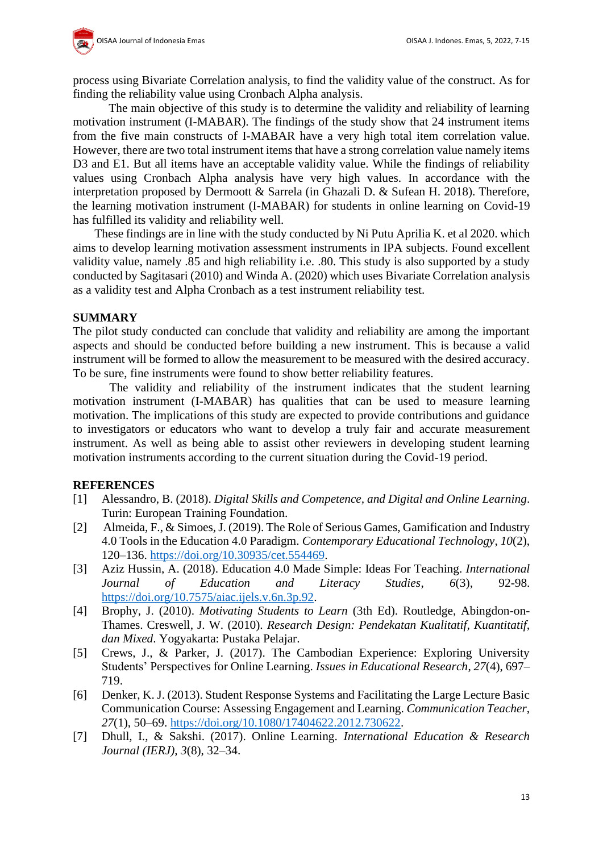

process using Bivariate Correlation analysis, to find the validity value of the construct. As for finding the reliability value using Cronbach Alpha analysis.

The main objective of this study is to determine the validity and reliability of learning motivation instrument (I-MABAR). The findings of the study show that 24 instrument items from the five main constructs of I-MABAR have a very high total item correlation value. However, there are two total instrument items that have a strong correlation value namely items D3 and E1. But all items have an acceptable validity value. While the findings of reliability values using Cronbach Alpha analysis have very high values. In accordance with the interpretation proposed by Dermoott & Sarrela (in Ghazali D. & Sufean H. 2018). Therefore, the learning motivation instrument (I-MABAR) for students in online learning on Covid-19 has fulfilled its validity and reliability well.

These findings are in line with the study conducted by Ni Putu Aprilia K. et al 2020. which aims to develop learning motivation assessment instruments in IPA subjects. Found excellent validity value, namely .85 and high reliability i.e. .80. This study is also supported by a study conducted by Sagitasari (2010) and Winda A. (2020) which uses Bivariate Correlation analysis as a validity test and Alpha Cronbach as a test instrument reliability test.

### **SUMMARY**

The pilot study conducted can conclude that validity and reliability are among the important aspects and should be conducted before building a new instrument. This is because a valid instrument will be formed to allow the measurement to be measured with the desired accuracy. To be sure, fine instruments were found to show better reliability features.

The validity and reliability of the instrument indicates that the student learning motivation instrument (I-MABAR) has qualities that can be used to measure learning motivation. The implications of this study are expected to provide contributions and guidance to investigators or educators who want to develop a truly fair and accurate measurement instrument. As well as being able to assist other reviewers in developing student learning motivation instruments according to the current situation during the Covid-19 period.

### **REFERENCES**

- [1] Alessandro, B. (2018). *Digital Skills and Competence, and Digital and Online Learning*. Turin: European Training Foundation.
- [2] Almeida, F., & Simoes, J. (2019). The Role of Serious Games, Gamification and Industry 4.0 Tools in the Education 4.0 Paradigm. *Contemporary Educational Technology*, *10*(2), 120–136. [https://doi.org/10.30935/cet.554469.](https://doi.org/10.30935/cet.554469)
- [3] Aziz Hussin, A. (2018). Education 4.0 Made Simple: Ideas For Teaching. *International Journal of Education and Literacy Studies*, *6*(3), 92-98. [https://doi.org/10.7575/aiac.ijels.v.6n.3p.92.](https://doi.org/10.7575/aiac.ijels.v.6n.3p.92)
- [4] Brophy, J. (2010). *Motivating Students to Learn* (3th Ed). Routledge, Abingdon-on-Thames. Creswell, J. W. (2010). *Research Design: Pendekatan Kualitatif, Kuantitatif, dan Mixed*. Yogyakarta: Pustaka Pelajar.
- [5] Crews, J., & Parker, J. (2017). The Cambodian Experience: Exploring University Students' Perspectives for Online Learning. *Issues in Educational Research*, *27*(4), 697– 719.
- [6] Denker, K. J. (2013). Student Response Systems and Facilitating the Large Lecture Basic Communication Course: Assessing Engagement and Learning. *Communication Teacher*, *27*(1), 50–69. [https://doi.org/10.1080/17404622.2012.730622.](https://doi.org/10.1080/17404622.2012.730622)
- [7] Dhull, I., & Sakshi. (2017). Online Learning. *International Education & Research Journal (IERJ)*, *3*(8), 32–34.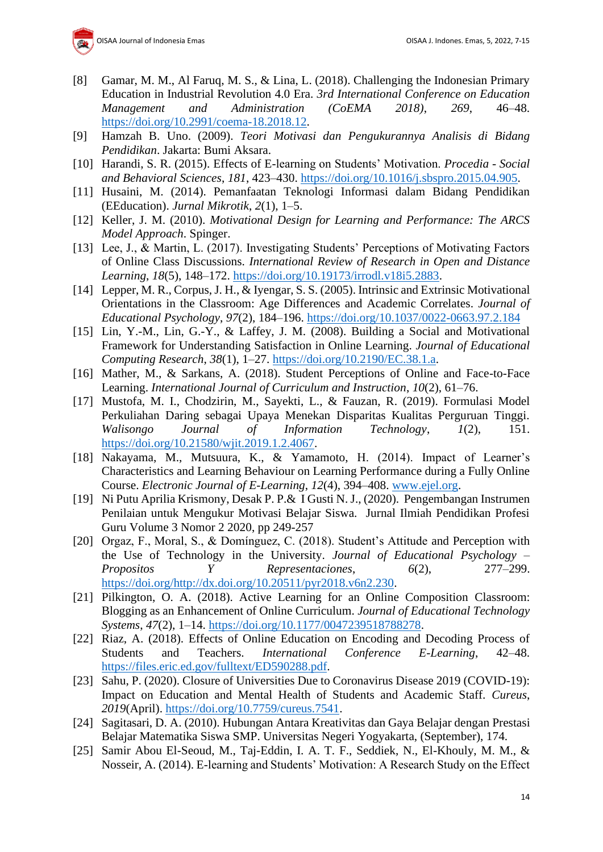- [8] Gamar, M. M., Al Faruq, M. S., & Lina, L. (2018). Challenging the Indonesian Primary Education in Industrial Revolution 4.0 Era. *3rd International Conference on Education Management and Administration (CoEMA 2018)*, *269*, 46–48. [https://doi.org/10.2991/coema-18.2018.12.](https://doi.org/10.2991/coema-18.2018.12)
- [9] Hamzah B. Uno. (2009). *Teori Motivasi dan Pengukurannya Analisis di Bidang Pendidikan*. Jakarta: Bumi Aksara.
- [10] Harandi, S. R. (2015). Effects of E-learning on Students' Motivation. *Procedia - Social and Behavioral Sciences*, *181*, 423–430. [https://doi.org/10.1016/j.sbspro.2015.04.905.](https://doi.org/10.1016/j.sbspro.2015.04.905)
- [11] Husaini, M. (2014). Pemanfaatan Teknologi Informasi dalam Bidang Pendidikan (EEducation). *Jurnal Mikrotik*, *2*(1), 1–5.
- [12] Keller, J. M. (2010). *Motivational Design for Learning and Performance: The ARCS Model Approach*. Spinger.
- [13] Lee, J., & Martin, L. (2017). Investigating Students' Perceptions of Motivating Factors of Online Class Discussions. *International Review of Research in Open and Distance Learning*, *18*(5), 148–172. [https://doi.org/10.19173/irrodl.v18i5.2883.](https://doi.org/10.19173/irrodl.v18i5.2883)
- [14] Lepper, M. R., Corpus, J. H., & Iyengar, S. S. (2005). Intrinsic and Extrinsic Motivational Orientations in the Classroom: Age Differences and Academic Correlates. *Journal of Educational Psychology*, *97*(2), 184–196.<https://doi.org/10.1037/0022-0663.97.2.184>
- [15] Lin, Y.-M., Lin, G.-Y., & Laffey, J. M. (2008). Building a Social and Motivational Framework for Understanding Satisfaction in Online Learning. *Journal of Educational Computing Research*, *38*(1), 1–27. [https://doi.org/10.2190/EC.38.1.a.](https://doi.org/10.2190/EC.38.1.a)
- [16] Mather, M., & Sarkans, A. (2018). Student Perceptions of Online and Face-to-Face Learning. *International Journal of Curriculum and Instruction*, *10*(2), 61–76.
- [17] Mustofa, M. I., Chodzirin, M., Sayekti, L., & Fauzan, R. (2019). Formulasi Model Perkuliahan Daring sebagai Upaya Menekan Disparitas Kualitas Perguruan Tinggi. *Walisongo Journal of Information Technology*, *1*(2), 151. [https://doi.org/10.21580/wjit.2019.1.2.4067.](https://doi.org/10.21580/wjit.2019.1.2.4067)
- [18] Nakayama, M., Mutsuura, K., & Yamamoto, H. (2014). Impact of Learner's Characteristics and Learning Behaviour on Learning Performance during a Fully Online Course. *Electronic Journal of E-Learning*, *12*(4), 394–408. [www.ejel.org.](http://www.ejel.org/)
- [19] Ni Putu Aprilia Krismony, Desak P. P.& I Gusti N. J., (2020). Pengembangan Instrumen Penilaian untuk Mengukur Motivasi Belajar Siswa. Jurnal Ilmiah Pendidikan Profesi Guru Volume 3 Nomor 2 2020, pp 249-257
- [20] Orgaz, F., Moral, S., & Domínguez, C. (2018). Student's Attitude and Perception with the Use of Technology in the University. *Journal of Educational Psychology – Propositos Y Representaciones*, *6*(2), 277–299. [https://doi.org/http://dx.doi.org/10.20511/pyr2018.v6n2.230.](https://doi.org/http:/dx.doi.org/10.20511/pyr2018.v6n2.230)
- [21] Pilkington, O. A. (2018). Active Learning for an Online Composition Classroom: Blogging as an Enhancement of Online Curriculum. *Journal of Educational Technology Systems*, *47*(2), 1–14. [https://doi.org/10.1177/0047239518788278.](https://doi.org/10.1177/0047239518788278)
- [22] Riaz, A. (2018). Effects of Online Education on Encoding and Decoding Process of Students and Teachers. *International Conference E-Learning*, 42–48. [https://files.eric.ed.gov/fulltext/ED590288.pdf.](https://files.eric.ed.gov/fulltext/ED590288.pdf)
- [23] Sahu, P. (2020). Closure of Universities Due to Coronavirus Disease 2019 (COVID-19): Impact on Education and Mental Health of Students and Academic Staff. *Cureus*, *2019*(April). [https://doi.org/10.7759/cureus.7541.](https://doi.org/10.7759/cureus.7541)
- [24] Sagitasari, D. A. (2010). Hubungan Antara Kreativitas dan Gaya Belajar dengan Prestasi Belajar Matematika Siswa SMP. Universitas Negeri Yogyakarta, (September), 174.
- [25] Samir Abou El-Seoud, M., Taj-Eddin, I. A. T. F., Seddiek, N., El-Khouly, M. M., & Nosseir, A. (2014). E-learning and Students' Motivation: A Research Study on the Effect